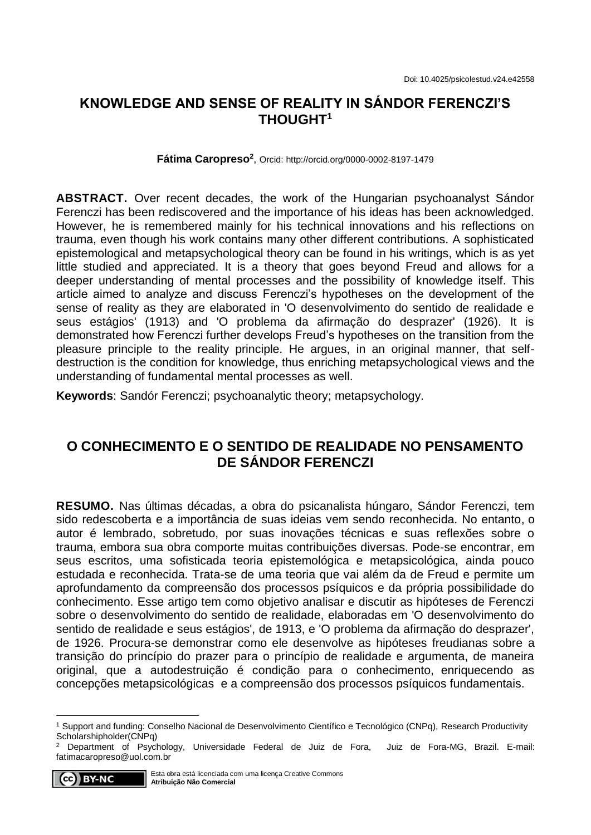## **KNOWLEDGE AND SENSE OF REALITY IN SÁNDOR FERENCZI'S THOUGHT<sup>1</sup>**

**Fátima Caropreso<sup>2</sup>** , Orcid: http://orcid.org/0000-0002-8197-1479

**ABSTRACT.** Over recent decades, the work of the Hungarian psychoanalyst Sándor Ferenczi has been rediscovered and the importance of his ideas has been acknowledged. However, he is remembered mainly for his technical innovations and his reflections on trauma, even though his work contains many other different contributions. A sophisticated epistemological and metapsychological theory can be found in his writings, which is as yet little studied and appreciated. It is a theory that goes beyond Freud and allows for a deeper understanding of mental processes and the possibility of knowledge itself. This article aimed to analyze and discuss Ferenczi's hypotheses on the development of the sense of reality as they are elaborated in 'O desenvolvimento do sentido de realidade e seus estágios' (1913) and 'O problema da afirmação do desprazer' (1926). It is demonstrated how Ferenczi further develops Freud's hypotheses on the transition from the pleasure principle to the reality principle. He argues, in an original manner, that selfdestruction is the condition for knowledge, thus enriching metapsychological views and the understanding of fundamental mental processes as well.

**Keywords**: Sandór Ferenczi; psychoanalytic theory; metapsychology.

# **O CONHECIMENTO E O SENTIDO DE REALIDADE NO PENSAMENTO DE SÁNDOR FERENCZI**

**RESUMO.** Nas últimas décadas, a obra do psicanalista húngaro, Sándor Ferenczi, tem sido redescoberta e a importância de suas ideias vem sendo reconhecida. No entanto, o autor é lembrado, sobretudo, por suas inovações técnicas e suas reflexões sobre o trauma, embora sua obra comporte muitas contribuições diversas. Pode-se encontrar, em seus escritos, uma sofisticada teoria epistemológica e metapsicológica, ainda pouco estudada e reconhecida. Trata-se de uma teoria que vai além da de Freud e permite um aprofundamento da compreensão dos processos psíquicos e da própria possibilidade do conhecimento. Esse artigo tem como objetivo analisar e discutir as hipóteses de Ferenczi sobre o desenvolvimento do sentido de realidade, elaboradas em 'O desenvolvimento do sentido de realidade e seus estágios', de 1913, e 'O problema da afirmação do desprazer', de 1926. Procura-se demonstrar como ele desenvolve as hipóteses freudianas sobre a transição do princípio do prazer para o princípio de realidade e argumenta, de maneira original, que a autodestruição é condição para o conhecimento, enriquecendo as concepções metapsicológicas e a compreensão dos processos psíquicos fundamentais.

<sup>2</sup> Department of Psychology, Universidade Federal de Juiz de Fora, Juiz de Fora-MG, Brazil. E-mail: [fatimacaropreso@uol.com.br](mailto:fatimacaropreso@uol.com.br)



1

<sup>1</sup> Support and funding: Conselho Nacional de Desenvolvimento Científico e Tecnológico (CNPq), Research Productivity Scholarshipholder(CNPq)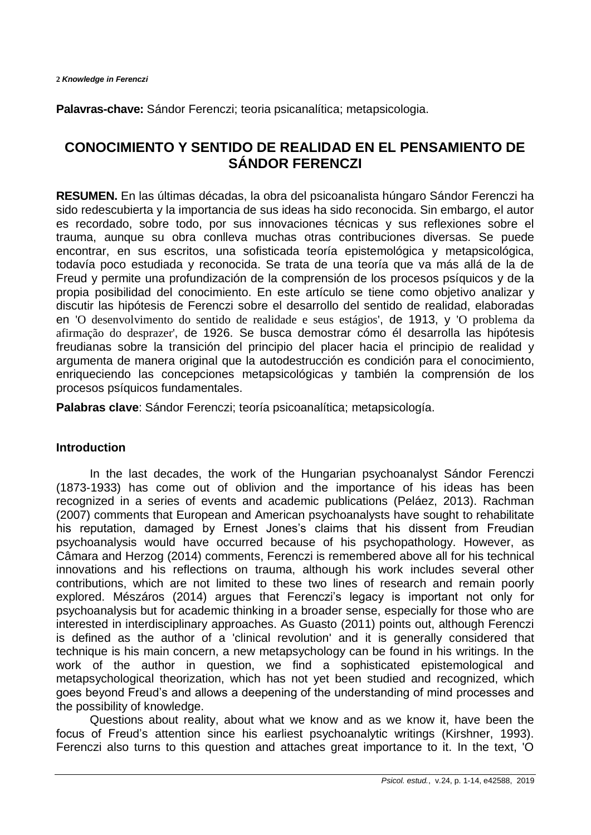**Palavras-chave:** Sándor Ferenczi; teoria psicanalítica; metapsicologia.

# **CONOCIMIENTO Y SENTIDO DE REALIDAD EN EL PENSAMIENTO DE SÁNDOR FERENCZI**

**RESUMEN.** En las últimas décadas, la obra del psicoanalista húngaro Sándor Ferenczi ha sido redescubierta y la importancia de sus ideas ha sido reconocida. Sin embargo, el autor es recordado, sobre todo, por sus innovaciones técnicas y sus reflexiones sobre el trauma, aunque su obra conlleva muchas otras contribuciones diversas. Se puede encontrar, en sus escritos, una sofisticada teoría epistemológica y metapsicológica, todavía poco estudiada y reconocida. Se trata de una teoría que va más allá de la de Freud y permite una profundización de la comprensión de los procesos psíquicos y de la propia posibilidad del conocimiento. En este artículo se tiene como objetivo analizar y discutir las hipótesis de Ferenczi sobre el desarrollo del sentido de realidad, elaboradas en 'O desenvolvimento do sentido de realidade e seus estágios', de 1913, y 'O problema da afirmação do desprazer', de 1926. Se busca demostrar cómo él desarrolla las hipótesis freudianas sobre la transición del principio del placer hacia el principio de realidad y argumenta de manera original que la autodestrucción es condición para el conocimiento, enriqueciendo las concepciones metapsicológicas y también la comprensión de los procesos psíquicos fundamentales.

**Palabras clave**: Sándor Ferenczi; teoría psicoanalítica; metapsicología.

## **Introduction**

In the last decades, the work of the Hungarian psychoanalyst Sándor Ferenczi (1873-1933) has come out of oblivion and the importance of his ideas has been recognized in a series of events and academic publications (Peláez, 2013). Rachman (2007) comments that European and American psychoanalysts have sought to rehabilitate his reputation, damaged by Ernest Jones's claims that his dissent from Freudian psychoanalysis would have occurred because of his psychopathology. However, as Câmara and Herzog (2014) comments, Ferenczi is remembered above all for his technical innovations and his reflections on trauma, although his work includes several other contributions, which are not limited to these two lines of research and remain poorly explored. Mészáros (2014) argues that Ferenczi's legacy is important not only for psychoanalysis but for academic thinking in a broader sense, especially for those who are interested in interdisciplinary approaches. As Guasto (2011) points out, although Ferenczi is defined as the author of a 'clinical revolution' and it is generally considered that technique is his main concern, a new metapsychology can be found in his writings. In the work of the author in question, we find a sophisticated epistemological and metapsychological theorization, which has not yet been studied and recognized, which goes beyond Freud's and allows a deepening of the understanding of mind processes and the possibility of knowledge.

Questions about reality, about what we know and as we know it, have been the focus of Freud's attention since his earliest psychoanalytic writings (Kirshner, 1993). Ferenczi also turns to this question and attaches great importance to it. In the text, 'O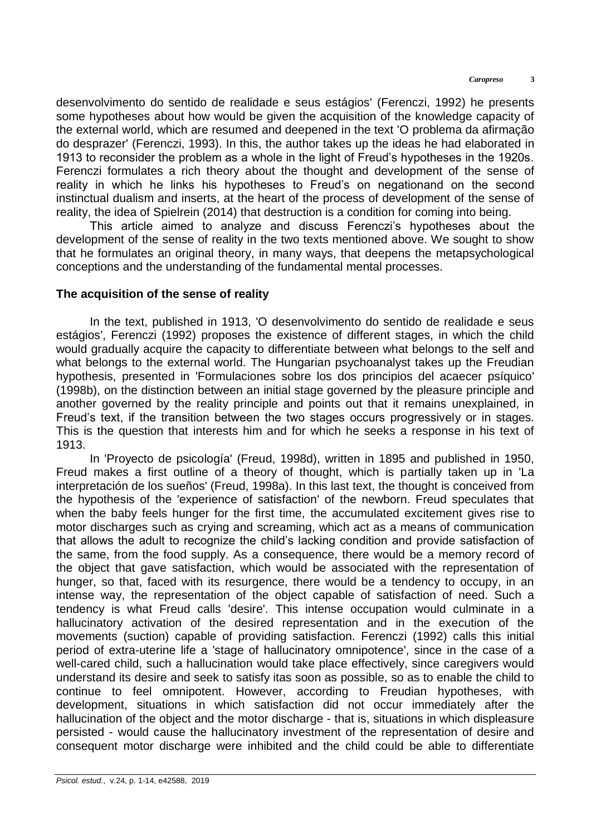desenvolvimento do sentido de realidade e seus estágios' (Ferenczi, 1992) he presents some hypotheses about how would be given the acquisition of the knowledge capacity of the external world, which are resumed and deepened in the text 'O problema da afirmação do desprazer' (Ferenczi, 1993). In this, the author takes up the ideas he had elaborated in 1913 to reconsider the problem as a whole in the light of Freud's hypotheses in the 1920s. Ferenczi formulates a rich theory about the thought and development of the sense of reality in which he links his hypotheses to Freud's on negationand on the second instinctual dualism and inserts, at the heart of the process of development of the sense of reality, the idea of Spielrein (2014) that destruction is a condition for coming into being.

This article aimed to analyze and discuss Ferenczi's hypotheses about the development of the sense of reality in the two texts mentioned above. We sought to show that he formulates an original theory, in many ways, that deepens the metapsychological conceptions and the understanding of the fundamental mental processes.

### **The acquisition of the sense of reality**

In the text, published in 1913, 'O desenvolvimento do sentido de realidade e seus estágios', Ferenczi (1992) proposes the existence of different stages, in which the child would gradually acquire the capacity to differentiate between what belongs to the self and what belongs to the external world. The Hungarian psychoanalyst takes up the Freudian hypothesis, presented in 'Formulaciones sobre los dos principios del acaecer psíquico' (1998b), on the distinction between an initial stage governed by the pleasure principle and another governed by the reality principle and points out that it remains unexplained, in Freud's text, if the transition between the two stages occurs progressively or in stages. This is the question that interests him and for which he seeks a response in his text of 1913.

In 'Proyecto de psicología' (Freud, 1998d), written in 1895 and published in 1950, Freud makes a first outline of a theory of thought, which is partially taken up in 'La interpretación de los sueños' (Freud, 1998a). In this last text, the thought is conceived from the hypothesis of the 'experience of satisfaction' of the newborn. Freud speculates that when the baby feels hunger for the first time, the accumulated excitement gives rise to motor discharges such as crying and screaming, which act as a means of communication that allows the adult to recognize the child's lacking condition and provide satisfaction of the same, from the food supply. As a consequence, there would be a memory record of the object that gave satisfaction, which would be associated with the representation of hunger, so that, faced with its resurgence, there would be a tendency to occupy, in an intense way, the representation of the object capable of satisfaction of need. Such a tendency is what Freud calls 'desire'. This intense occupation would culminate in a hallucinatory activation of the desired representation and in the execution of the movements (suction) capable of providing satisfaction. Ferenczi (1992) calls this initial period of extra-uterine life a 'stage of hallucinatory omnipotence', since in the case of a well-cared child, such a hallucination would take place effectively, since caregivers would understand its desire and seek to satisfy itas soon as possible, so as to enable the child to continue to feel omnipotent. However, according to Freudian hypotheses, with development, situations in which satisfaction did not occur immediately after the hallucination of the object and the motor discharge - that is, situations in which displeasure persisted - would cause the hallucinatory investment of the representation of desire and consequent motor discharge were inhibited and the child could be able to differentiate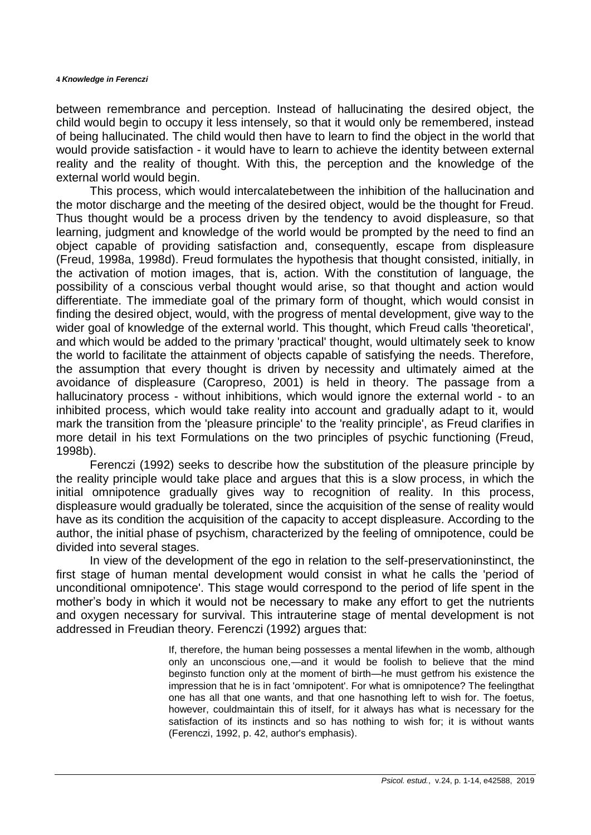between remembrance and perception. Instead of hallucinating the desired object, the child would begin to occupy it less intensely, so that it would only be remembered, instead of being hallucinated. The child would then have to learn to find the object in the world that would provide satisfaction - it would have to learn to achieve the identity between external reality and the reality of thought. With this, the perception and the knowledge of the external world would begin.

This process, which would intercalatebetween the inhibition of the hallucination and the motor discharge and the meeting of the desired object, would be the thought for Freud. Thus thought would be a process driven by the tendency to avoid displeasure, so that learning, judgment and knowledge of the world would be prompted by the need to find an object capable of providing satisfaction and, consequently, escape from displeasure (Freud, 1998a, 1998d). Freud formulates the hypothesis that thought consisted, initially, in the activation of motion images, that is, action. With the constitution of language, the possibility of a conscious verbal thought would arise, so that thought and action would differentiate. The immediate goal of the primary form of thought, which would consist in finding the desired object, would, with the progress of mental development, give way to the wider goal of knowledge of the external world. This thought, which Freud calls 'theoretical', and which would be added to the primary 'practical' thought, would ultimately seek to know the world to facilitate the attainment of objects capable of satisfying the needs. Therefore, the assumption that every thought is driven by necessity and ultimately aimed at the avoidance of displeasure (Caropreso, 2001) is held in theory. The passage from a hallucinatory process - without inhibitions, which would ignore the external world - to an inhibited process, which would take reality into account and gradually adapt to it, would mark the transition from the 'pleasure principle' to the 'reality principle', as Freud clarifies in more detail in his text Formulations on the two principles of psychic functioning (Freud, 1998b).

Ferenczi (1992) seeks to describe how the substitution of the pleasure principle by the reality principle would take place and argues that this is a slow process, in which the initial omnipotence gradually gives way to recognition of reality. In this process, displeasure would gradually be tolerated, since the acquisition of the sense of reality would have as its condition the acquisition of the capacity to accept displeasure. According to the author, the initial phase of psychism, characterized by the feeling of omnipotence, could be divided into several stages.

In view of the development of the ego in relation to the self-preservationinstinct, the first stage of human mental development would consist in what he calls the 'period of unconditional omnipotence'. This stage would correspond to the period of life spent in the mother's body in which it would not be necessary to make any effort to get the nutrients and oxygen necessary for survival. This intrauterine stage of mental development is not addressed in Freudian theory. Ferenczi (1992) argues that:

> If, therefore, the human being possesses a mental lifewhen in the womb, although only an unconscious one,—and it would be foolish to believe that the mind beginsto function only at the moment of birth—he must getfrom his existence the impression that he is in fact 'omnipotent'. For what is omnipotence? The feelingthat one has all that one wants, and that one hasnothing left to wish for. The foetus, however, couldmaintain this of itself, for it always has what is necessary for the satisfaction of its instincts and so has nothing to wish for; it is without wants (Ferenczi, 1992, p. 42, author's emphasis).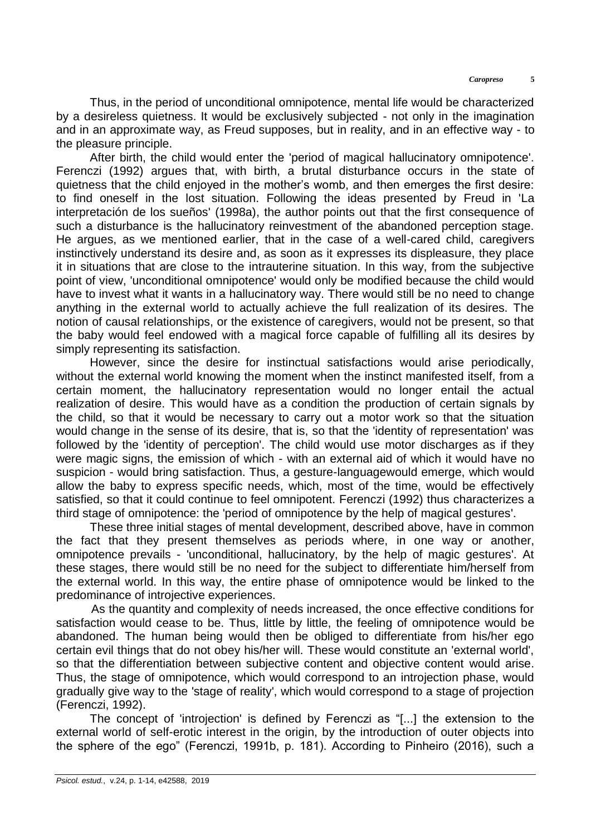Thus, in the period of unconditional omnipotence, mental life would be characterized by a desireless quietness. It would be exclusively subjected - not only in the imagination and in an approximate way, as Freud supposes, but in reality, and in an effective way - to the pleasure principle.

After birth, the child would enter the 'period of magical hallucinatory omnipotence'. Ferenczi (1992) argues that, with birth, a brutal disturbance occurs in the state of quietness that the child enjoyed in the mother's womb, and then emerges the first desire: to find oneself in the lost situation. Following the ideas presented by Freud in 'La interpretación de los sueños' (1998a), the author points out that the first consequence of such a disturbance is the hallucinatory reinvestment of the abandoned perception stage. He argues, as we mentioned earlier, that in the case of a well-cared child, caregivers instinctively understand its desire and, as soon as it expresses its displeasure, they place it in situations that are close to the intrauterine situation. In this way, from the subjective point of view, 'unconditional omnipotence' would only be modified because the child would have to invest what it wants in a hallucinatory way. There would still be no need to change anything in the external world to actually achieve the full realization of its desires. The notion of causal relationships, or the existence of caregivers, would not be present, so that the baby would feel endowed with a magical force capable of fulfilling all its desires by simply representing its satisfaction.

However, since the desire for instinctual satisfactions would arise periodically, without the external world knowing the moment when the instinct manifested itself, from a certain moment, the hallucinatory representation would no longer entail the actual realization of desire. This would have as a condition the production of certain signals by the child, so that it would be necessary to carry out a motor work so that the situation would change in the sense of its desire, that is, so that the 'identity of representation' was followed by the 'identity of perception'. The child would use motor discharges as if they were magic signs, the emission of which - with an external aid of which it would have no suspicion - would bring satisfaction. Thus, a gesture-languagewould emerge, which would allow the baby to express specific needs, which, most of the time, would be effectively satisfied, so that it could continue to feel omnipotent. Ferenczi (1992) thus characterizes a third stage of omnipotence: the 'period of omnipotence by the help of magical gestures'.

These three initial stages of mental development, described above, have in common the fact that they present themselves as periods where, in one way or another, omnipotence prevails - 'unconditional, hallucinatory, by the help of magic gestures'. At these stages, there would still be no need for the subject to differentiate him/herself from the external world. In this way, the entire phase of omnipotence would be linked to the predominance of introjective experiences.

As the quantity and complexity of needs increased, the once effective conditions for satisfaction would cease to be. Thus, little by little, the feeling of omnipotence would be abandoned. The human being would then be obliged to differentiate from his/her ego certain evil things that do not obey his/her will. These would constitute an 'external world', so that the differentiation between subjective content and objective content would arise. Thus, the stage of omnipotence, which would correspond to an introjection phase, would gradually give way to the 'stage of reality', which would correspond to a stage of projection (Ferenczi, 1992).

The concept of 'introjection' is defined by Ferenczi as "[...] the extension to the external world of self-erotic interest in the origin, by the introduction of outer objects into the sphere of the ego" (Ferenczi, 1991b, p. 181). According to Pinheiro (2016), such a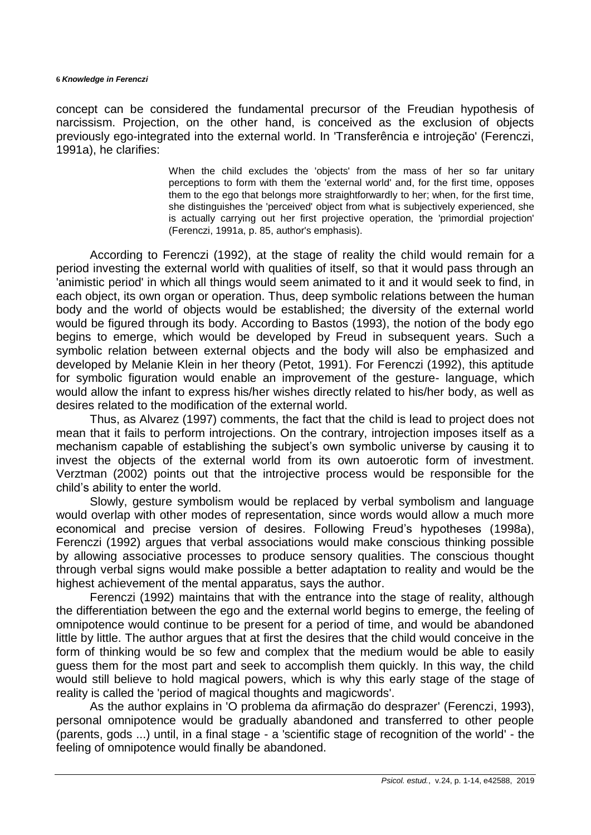#### **6** *Knowledge in Ferenczi*

concept can be considered the fundamental precursor of the Freudian hypothesis of narcissism. Projection, on the other hand, is conceived as the exclusion of objects previously ego-integrated into the external world. In 'Transferência e introjeção' (Ferenczi, 1991a), he clarifies:

> When the child excludes the 'objects' from the mass of her so far unitary perceptions to form with them the 'external world' and, for the first time, opposes them to the ego that belongs more straightforwardly to her; when, for the first time, she distinguishes the 'perceived' object from what is subjectively experienced, she is actually carrying out her first projective operation, the 'primordial projection' (Ferenczi, 1991a, p. 85, author's emphasis).

According to Ferenczi (1992), at the stage of reality the child would remain for a period investing the external world with qualities of itself, so that it would pass through an 'animistic period' in which all things would seem animated to it and it would seek to find, in each object, its own organ or operation. Thus, deep symbolic relations between the human body and the world of objects would be established; the diversity of the external world would be figured through its body. According to Bastos (1993), the notion of the body ego begins to emerge, which would be developed by Freud in subsequent years. Such a symbolic relation between external objects and the body will also be emphasized and developed by Melanie Klein in her theory (Petot, 1991). For Ferenczi (1992), this aptitude for symbolic figuration would enable an improvement of the gesture- language, which would allow the infant to express his/her wishes directly related to his/her body, as well as desires related to the modification of the external world.

Thus, as Alvarez (1997) comments, the fact that the child is lead to project does not mean that it fails to perform introjections. On the contrary, introjection imposes itself as a mechanism capable of establishing the subject's own symbolic universe by causing it to invest the objects of the external world from its own autoerotic form of investment. Verztman (2002) points out that the introjective process would be responsible for the child's ability to enter the world.

Slowly, gesture symbolism would be replaced by verbal symbolism and language would overlap with other modes of representation, since words would allow a much more economical and precise version of desires. Following Freud's hypotheses (1998a), Ferenczi (1992) argues that verbal associations would make conscious thinking possible by allowing associative processes to produce sensory qualities. The conscious thought through verbal signs would make possible a better adaptation to reality and would be the highest achievement of the mental apparatus, says the author.

Ferenczi (1992) maintains that with the entrance into the stage of reality, although the differentiation between the ego and the external world begins to emerge, the feeling of omnipotence would continue to be present for a period of time, and would be abandoned little by little. The author argues that at first the desires that the child would conceive in the form of thinking would be so few and complex that the medium would be able to easily guess them for the most part and seek to accomplish them quickly. In this way, the child would still believe to hold magical powers, which is why this early stage of the stage of reality is called the 'period of magical thoughts and magicwords'.

As the author explains in 'O problema da afirmação do desprazer' (Ferenczi, 1993), personal omnipotence would be gradually abandoned and transferred to other people (parents, gods ...) until, in a final stage - a 'scientific stage of recognition of the world' - the feeling of omnipotence would finally be abandoned.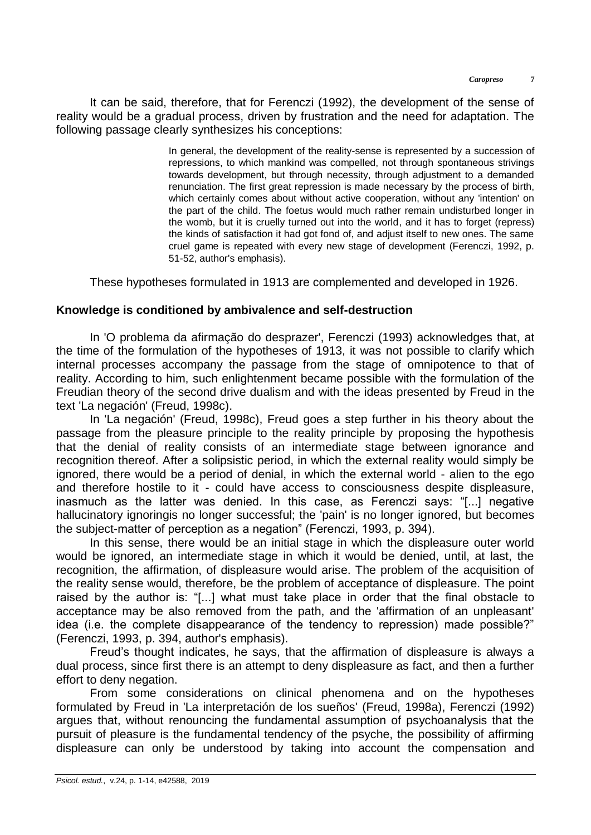It can be said, therefore, that for Ferenczi (1992), the development of the sense of reality would be a gradual process, driven by frustration and the need for adaptation. The following passage clearly synthesizes his conceptions:

> In general, the development of the reality-sense is represented by a succession of repressions, to which mankind was compelled, not through spontaneous strivings towards development, but through necessity, through adjustment to a demanded renunciation. The first great repression is made necessary by the process of birth, which certainly comes about without active cooperation, without any 'intention' on the part of the child. The foetus would much rather remain undisturbed longer in the womb, but it is cruelly turned out into the world, and it has to forget (repress) the kinds of satisfaction it had got fond of, and adjust itself to new ones. The same cruel game is repeated with every new stage of development (Ferenczi, 1992, p. 51-52, author's emphasis).

These hypotheses formulated in 1913 are complemented and developed in 1926.

## **Knowledge is conditioned by ambivalence and self-destruction**

In 'O problema da afirmação do desprazer', Ferenczi (1993) acknowledges that, at the time of the formulation of the hypotheses of 1913, it was not possible to clarify which internal processes accompany the passage from the stage of omnipotence to that of reality. According to him, such enlightenment became possible with the formulation of the Freudian theory of the second drive dualism and with the ideas presented by Freud in the text 'La negación' (Freud, 1998c).

In 'La negación' (Freud, 1998c), Freud goes a step further in his theory about the passage from the pleasure principle to the reality principle by proposing the hypothesis that the denial of reality consists of an intermediate stage between ignorance and recognition thereof. After a solipsistic period, in which the external reality would simply be ignored, there would be a period of denial, in which the external world - alien to the ego and therefore hostile to it - could have access to consciousness despite displeasure, inasmuch as the latter was denied. In this case, as Ferenczi says: "[...] negative hallucinatory ignoringis no longer successful; the 'pain' is no longer ignored, but becomes the subject-matter of perception as a negation" (Ferenczi, 1993, p. 394).

In this sense, there would be an initial stage in which the displeasure outer world would be ignored, an intermediate stage in which it would be denied, until, at last, the recognition, the affirmation, of displeasure would arise. The problem of the acquisition of the reality sense would, therefore, be the problem of acceptance of displeasure. The point raised by the author is: "[...] what must take place in order that the final obstacle to acceptance may be also removed from the path, and the 'affirmation of an unpleasant' idea (i.e. the complete disappearance of the tendency to repression) made possible?" (Ferenczi, 1993, p. 394, author's emphasis).

Freud's thought indicates, he says, that the affirmation of displeasure is always a dual process, since first there is an attempt to deny displeasure as fact, and then a further effort to deny negation.

From some considerations on clinical phenomena and on the hypotheses formulated by Freud in 'La interpretación de los sueños' (Freud, 1998a), Ferenczi (1992) argues that, without renouncing the fundamental assumption of psychoanalysis that the pursuit of pleasure is the fundamental tendency of the psyche, the possibility of affirming displeasure can only be understood by taking into account the compensation and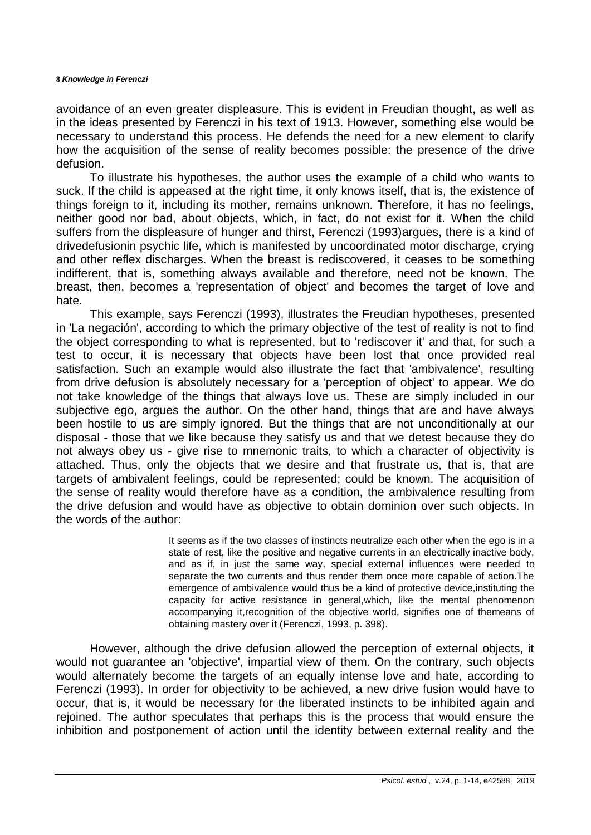#### **8** *Knowledge in Ferenczi*

avoidance of an even greater displeasure. This is evident in Freudian thought, as well as in the ideas presented by Ferenczi in his text of 1913. However, something else would be necessary to understand this process. He defends the need for a new element to clarify how the acquisition of the sense of reality becomes possible: the presence of the drive defusion.

To illustrate his hypotheses, the author uses the example of a child who wants to suck. If the child is appeased at the right time, it only knows itself, that is, the existence of things foreign to it, including its mother, remains unknown. Therefore, it has no feelings, neither good nor bad, about objects, which, in fact, do not exist for it. When the child suffers from the displeasure of hunger and thirst, Ferenczi (1993)argues, there is a kind of drivedefusionin psychic life, which is manifested by uncoordinated motor discharge, crying and other reflex discharges. When the breast is rediscovered, it ceases to be something indifferent, that is, something always available and therefore, need not be known. The breast, then, becomes a 'representation of object' and becomes the target of love and hate.

This example, says Ferenczi (1993), illustrates the Freudian hypotheses, presented in 'La negación', according to which the primary objective of the test of reality is not to find the object corresponding to what is represented, but to 'rediscover it' and that, for such a test to occur, it is necessary that objects have been lost that once provided real satisfaction. Such an example would also illustrate the fact that 'ambivalence', resulting from drive defusion is absolutely necessary for a 'perception of object' to appear. We do not take knowledge of the things that always love us. These are simply included in our subjective ego, argues the author. On the other hand, things that are and have always been hostile to us are simply ignored. But the things that are not unconditionally at our disposal - those that we like because they satisfy us and that we detest because they do not always obey us - give rise to mnemonic traits, to which a character of objectivity is attached. Thus, only the objects that we desire and that frustrate us, that is, that are targets of ambivalent feelings, could be represented; could be known. The acquisition of the sense of reality would therefore have as a condition, the ambivalence resulting from the drive defusion and would have as objective to obtain dominion over such objects. In the words of the author:

> It seems as if the two classes of instincts neutralize each other when the ego is in a state of rest, like the positive and negative currents in an electrically inactive body, and as if, in just the same way, special external influences were needed to separate the two currents and thus render them once more capable of action.The emergence of ambivalence would thus be a kind of protective device,instituting the capacity for active resistance in general,which, like the mental phenomenon accompanying it,recognition of the objective world, signifies one of themeans of obtaining mastery over it (Ferenczi, 1993, p. 398).

However, although the drive defusion allowed the perception of external objects, it would not guarantee an 'objective', impartial view of them. On the contrary, such objects would alternately become the targets of an equally intense love and hate, according to Ferenczi (1993). In order for objectivity to be achieved, a new drive fusion would have to occur, that is, it would be necessary for the liberated instincts to be inhibited again and rejoined. The author speculates that perhaps this is the process that would ensure the inhibition and postponement of action until the identity between external reality and the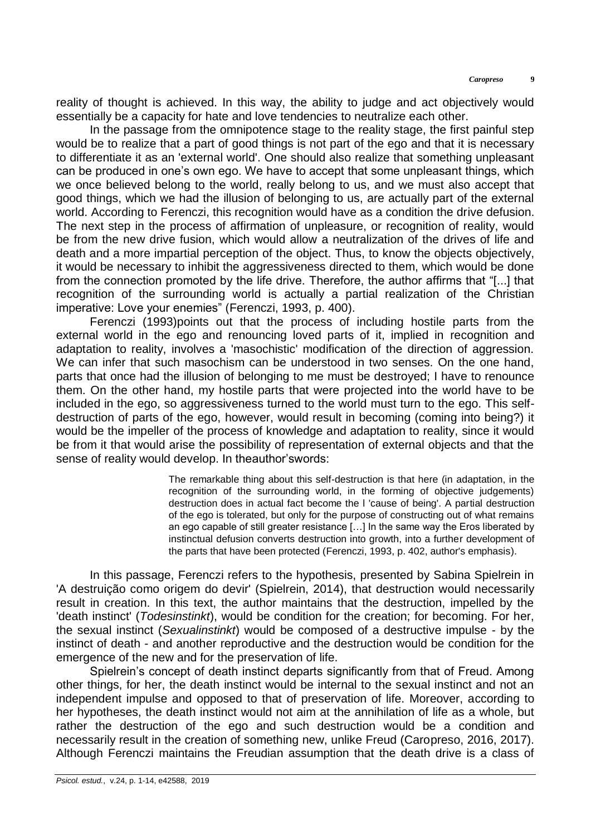reality of thought is achieved. In this way, the ability to judge and act objectively would essentially be a capacity for hate and love tendencies to neutralize each other.

In the passage from the omnipotence stage to the reality stage, the first painful step would be to realize that a part of good things is not part of the ego and that it is necessary to differentiate it as an 'external world'. One should also realize that something unpleasant can be produced in one's own ego. We have to accept that some unpleasant things, which we once believed belong to the world, really belong to us, and we must also accept that good things, which we had the illusion of belonging to us, are actually part of the external world. According to Ferenczi, this recognition would have as a condition the drive defusion. The next step in the process of affirmation of unpleasure, or recognition of reality, would be from the new drive fusion, which would allow a neutralization of the drives of life and death and a more impartial perception of the object. Thus, to know the objects objectively, it would be necessary to inhibit the aggressiveness directed to them, which would be done from the connection promoted by the life drive. Therefore, the author affirms that "[...] that recognition of the surrounding world is actually a partial realization of the Christian imperative: Love your enemies" (Ferenczi, 1993, p. 400).

Ferenczi (1993)points out that the process of including hostile parts from the external world in the ego and renouncing loved parts of it, implied in recognition and adaptation to reality, involves a 'masochistic' modification of the direction of aggression. We can infer that such masochism can be understood in two senses. On the one hand, parts that once had the illusion of belonging to me must be destroyed; I have to renounce them. On the other hand, my hostile parts that were projected into the world have to be included in the ego, so aggressiveness turned to the world must turn to the ego. This selfdestruction of parts of the ego, however, would result in becoming (coming into being?) it would be the impeller of the process of knowledge and adaptation to reality, since it would be from it that would arise the possibility of representation of external objects and that the sense of reality would develop. In theauthor'swords:

> The remarkable thing about this self-destruction is that here (in adaptation, in the recognition of the surrounding world, in the forming of objective judgements) destruction does in actual fact become the l 'cause of being'. A partial destruction of the ego is tolerated, but only for the purpose of constructing out of what remains an ego capable of still greater resistance […] In the same way the Eros liberated by instinctual defusion converts destruction into growth, into a further development of the parts that have been protected (Ferenczi, 1993, p. 402, author's emphasis).

In this passage, Ferenczi refers to the hypothesis, presented by Sabina Spielrein in 'A destruição como origem do devir' (Spielrein, 2014), that destruction would necessarily result in creation. In this text, the author maintains that the destruction, impelled by the 'death instinct' (*Todesinstinkt*), would be condition for the creation; for becoming. For her, the sexual instinct (*Sexualinstinkt*) would be composed of a destructive impulse - by the instinct of death - and another reproductive and the destruction would be condition for the emergence of the new and for the preservation of life.

Spielrein's concept of death instinct departs significantly from that of Freud. Among other things, for her, the death instinct would be internal to the sexual instinct and not an independent impulse and opposed to that of preservation of life. Moreover, according to her hypotheses, the death instinct would not aim at the annihilation of life as a whole, but rather the destruction of the ego and such destruction would be a condition and necessarily result in the creation of something new, unlike Freud (Caropreso, 2016, 2017). Although Ferenczi maintains the Freudian assumption that the death drive is a class of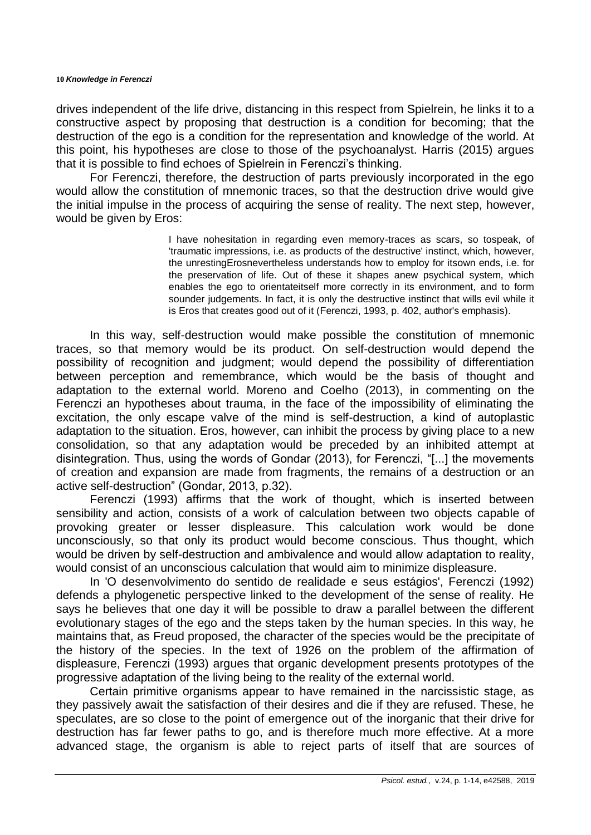drives independent of the life drive, distancing in this respect from Spielrein, he links it to a constructive aspect by proposing that destruction is a condition for becoming; that the destruction of the ego is a condition for the representation and knowledge of the world. At this point, his hypotheses are close to those of the psychoanalyst. Harris (2015) argues that it is possible to find echoes of Spielrein in Ferenczi's thinking.

For Ferenczi, therefore, the destruction of parts previously incorporated in the ego would allow the constitution of mnemonic traces, so that the destruction drive would give the initial impulse in the process of acquiring the sense of reality. The next step, however, would be given by Eros:

> I have nohesitation in regarding even memory-traces as scars, so tospeak, of 'traumatic impressions, i.e. as products of the destructive' instinct, which, however, the unrestingErosnevertheless understands how to employ for itsown ends, i.e. for the preservation of life. Out of these it shapes anew psychical system, which enables the ego to orientateitself more correctly in its environment, and to form sounder judgements. In fact, it is only the destructive instinct that wills evil while it is Eros that creates good out of it (Ferenczi, 1993, p. 402, author's emphasis).

In this way, self-destruction would make possible the constitution of mnemonic traces, so that memory would be its product. On self-destruction would depend the possibility of recognition and judgment; would depend the possibility of differentiation between perception and remembrance, which would be the basis of thought and adaptation to the external world. Moreno and Coelho (2013), in commenting on the Ferenczi an hypotheses about trauma, in the face of the impossibility of eliminating the excitation, the only escape valve of the mind is self-destruction, a kind of autoplastic adaptation to the situation. Eros, however, can inhibit the process by giving place to a new consolidation, so that any adaptation would be preceded by an inhibited attempt at disintegration. Thus, using the words of Gondar (2013), for Ferenczi, "[...] the movements of creation and expansion are made from fragments, the remains of a destruction or an active self-destruction" (Gondar, 2013, p.32).

Ferenczi (1993) affirms that the work of thought, which is inserted between sensibility and action, consists of a work of calculation between two objects capable of provoking greater or lesser displeasure. This calculation work would be done unconsciously, so that only its product would become conscious. Thus thought, which would be driven by self-destruction and ambivalence and would allow adaptation to reality, would consist of an unconscious calculation that would aim to minimize displeasure.

In 'O desenvolvimento do sentido de realidade e seus estágios', Ferenczi (1992) defends a phylogenetic perspective linked to the development of the sense of reality. He says he believes that one day it will be possible to draw a parallel between the different evolutionary stages of the ego and the steps taken by the human species. In this way, he maintains that, as Freud proposed, the character of the species would be the precipitate of the history of the species. In the text of 1926 on the problem of the affirmation of displeasure, Ferenczi (1993) argues that organic development presents prototypes of the progressive adaptation of the living being to the reality of the external world.

Certain primitive organisms appear to have remained in the narcissistic stage, as they passively await the satisfaction of their desires and die if they are refused. These, he speculates, are so close to the point of emergence out of the inorganic that their drive for destruction has far fewer paths to go, and is therefore much more effective. At a more advanced stage, the organism is able to reject parts of itself that are sources of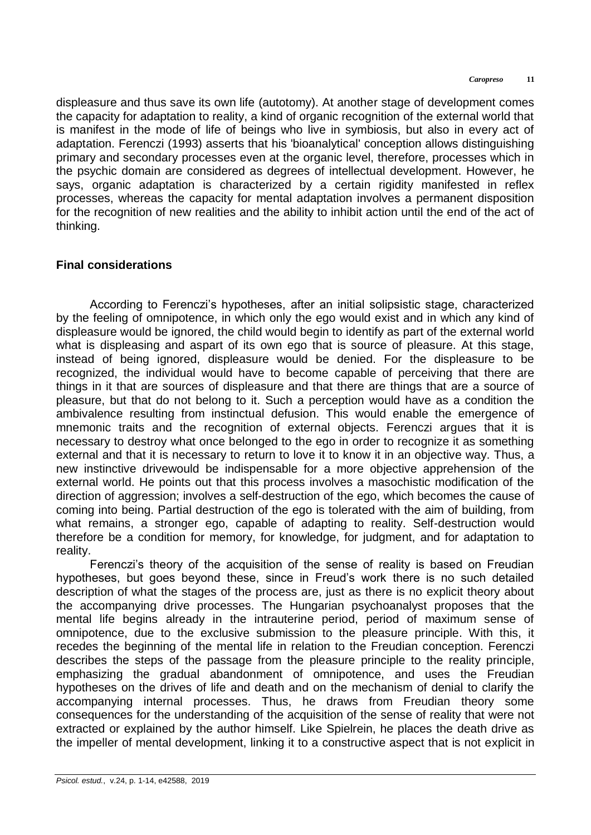displeasure and thus save its own life (autotomy). At another stage of development comes the capacity for adaptation to reality, a kind of organic recognition of the external world that is manifest in the mode of life of beings who live in symbiosis, but also in every act of adaptation. Ferenczi (1993) asserts that his 'bioanalytical' conception allows distinguishing primary and secondary processes even at the organic level, therefore, processes which in the psychic domain are considered as degrees of intellectual development. However, he says, organic adaptation is characterized by a certain rigidity manifested in reflex processes, whereas the capacity for mental adaptation involves a permanent disposition for the recognition of new realities and the ability to inhibit action until the end of the act of thinking.

### **Final considerations**

According to Ferenczi's hypotheses, after an initial solipsistic stage, characterized by the feeling of omnipotence, in which only the ego would exist and in which any kind of displeasure would be ignored, the child would begin to identify as part of the external world what is displeasing and aspart of its own ego that is source of pleasure. At this stage, instead of being ignored, displeasure would be denied. For the displeasure to be recognized, the individual would have to become capable of perceiving that there are things in it that are sources of displeasure and that there are things that are a source of pleasure, but that do not belong to it. Such a perception would have as a condition the ambivalence resulting from instinctual defusion. This would enable the emergence of mnemonic traits and the recognition of external objects. Ferenczi argues that it is necessary to destroy what once belonged to the ego in order to recognize it as something external and that it is necessary to return to love it to know it in an objective way. Thus, a new instinctive drivewould be indispensable for a more objective apprehension of the external world. He points out that this process involves a masochistic modification of the direction of aggression; involves a self-destruction of the ego, which becomes the cause of coming into being. Partial destruction of the ego is tolerated with the aim of building, from what remains, a stronger ego, capable of adapting to reality. Self-destruction would therefore be a condition for memory, for knowledge, for judgment, and for adaptation to reality.

Ferenczi's theory of the acquisition of the sense of reality is based on Freudian hypotheses, but goes beyond these, since in Freud's work there is no such detailed description of what the stages of the process are, just as there is no explicit theory about the accompanying drive processes. The Hungarian psychoanalyst proposes that the mental life begins already in the intrauterine period, period of maximum sense of omnipotence, due to the exclusive submission to the pleasure principle. With this, it recedes the beginning of the mental life in relation to the Freudian conception. Ferenczi describes the steps of the passage from the pleasure principle to the reality principle, emphasizing the gradual abandonment of omnipotence, and uses the Freudian hypotheses on the drives of life and death and on the mechanism of denial to clarify the accompanying internal processes. Thus, he draws from Freudian theory some consequences for the understanding of the acquisition of the sense of reality that were not extracted or explained by the author himself. Like Spielrein, he places the death drive as the impeller of mental development, linking it to a constructive aspect that is not explicit in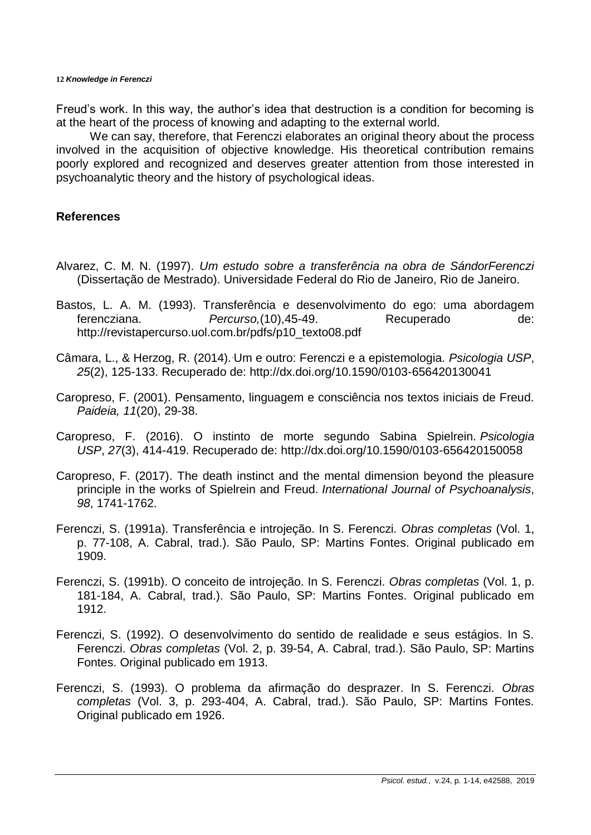Freud's work. In this way, the author's idea that destruction is a condition for becoming is at the heart of the process of knowing and adapting to the external world.

We can say, therefore, that Ferenczi elaborates an original theory about the process involved in the acquisition of objective knowledge. His theoretical contribution remains poorly explored and recognized and deserves greater attention from those interested in psychoanalytic theory and the history of psychological ideas.

## **References**

- Alvarez, C. M. N. (1997). *Um estudo sobre a transferência na obra de SándorFerenczi* (Dissertação de Mestrado). Universidade Federal do Rio de Janeiro, Rio de Janeiro.
- Bastos, L. A. M. (1993). Transferência e desenvolvimento do ego: uma abordagem ferencziana. *Percurso,*(10),45-49. Recuperado de: [http://revistapercurso.uol.com.br/pdfs/p10\\_texto08.pdf](http://revistapercurso.uol.com.br/pdfs/p10_texto08.pdf)
- Câmara, L., & Herzog, R. (2014)..Um e outro: Ferenczi e a epistemologia. *Psicologia USP*, *25*(2), 125-133. Recuperado de:<http://dx.doi.org/10.1590/0103-656420130041>
- Caropreso, F. (2001). Pensamento, linguagem e consciência nos textos iniciais de Freud. *Paideia, 11*(20), 29-38.
- Caropreso, F. (2016). O instinto de morte segundo Sabina Spielrein. *Psicologia USP*, *27*(3), 414-419. Recuperado de: [http://dx.doi.org/10.1590/0103-656420150058](ttp://dx.doi.org/10.1590/0103-656420150058)
- Caropreso, F. (2017). The death instinct and the mental dimension beyond the pleasure principle in the works of Spielrein and Freud. *International Journal of Psychoanalysis*, *98*, 1741-1762.
- Ferenczi, S. (1991a). Transferência e introjeção. In S. Ferenczi. *Obras completas* (Vol. 1, p. 77-108, A. Cabral, trad.). São Paulo, SP: Martins Fontes. Original publicado em 1909.
- Ferenczi, S. (1991b). O conceito de introjeção. In S. Ferenczi. *Obras completas* (Vol. 1, p. 181-184, A. Cabral, trad.). São Paulo, SP: Martins Fontes. Original publicado em 1912.
- Ferenczi, S. (1992). O desenvolvimento do sentido de realidade e seus estágios. In S. Ferenczi. *Obras completas* (Vol. 2, p. 39-54, A. Cabral, trad.). São Paulo, SP: Martins Fontes. Original publicado em 1913.
- Ferenczi, S. (1993). O problema da afirmação do desprazer. In S. Ferenczi. *Obras completas* (Vol. 3, p. 293-404, A. Cabral, trad.). São Paulo, SP: Martins Fontes. Original publicado em 1926.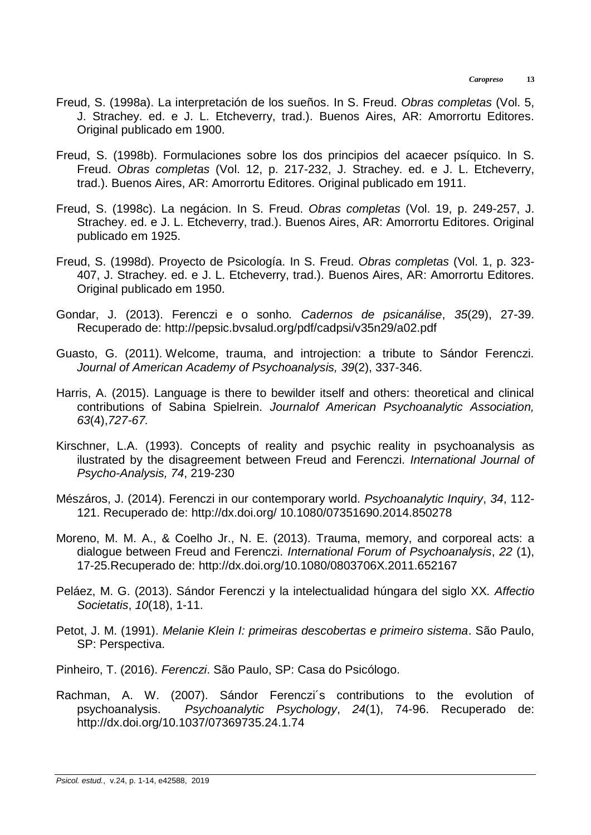- Freud, S. (1998a). La interpretación de los sueños. In S. Freud. *Obras completas* (Vol. 5, J. Strachey. ed. e J. L. Etcheverry, trad.). Buenos Aires, AR: Amorrortu Editores. Original publicado em 1900.
- Freud, S. (1998b). Formulaciones sobre los dos principios del acaecer psíquico. In S. Freud. *Obras completas* (Vol. 12, p. 217-232, J. Strachey. ed. e J. L. Etcheverry, trad.). Buenos Aires, AR: Amorrortu Editores. Original publicado em 1911.
- Freud, S. (1998c). La negácion. In S. Freud. *Obras completas* (Vol. 19, p. 249-257, J. Strachey. ed. e J. L. Etcheverry, trad.). Buenos Aires, AR: Amorrortu Editores. Original publicado em 1925.
- Freud, S. (1998d). Proyecto de Psicología. In S. Freud. *Obras completas* (Vol. 1, p. 323- 407, J. Strachey. ed. e J. L. Etcheverry, trad.). Buenos Aires, AR: Amorrortu Editores. Original publicado em 1950.
- Gondar, J. (2013). Ferenczi e o sonho*. Cadernos de psicanálise*, *35*(29), 27-39. Recuperado de:<http://pepsic.bvsalud.org/pdf/cadpsi/v35n29/a02.pdf>
- Guasto, G. (2011). Welcome, trauma, and introjection: a tribute to Sándor Ferenczi. *Journal of American Academy of Psychoanalysis, 39*(2), 337-346.
- Harris, A. (2015). Language is there to bewilder itself and others: theoretical and clinical contributions of Sabina Spielrein. *Journalof American Psychoanalytic Association, 63*(4),*727-67.*
- Kirschner, L.A. (1993). Concepts of reality and psychic reality in psychoanalysis as ilustrated by the disagreement between Freud and Ferenczi. *International Journal of Psycho-Analysis, 74*, 219-230
- Mészáros, J. (2014). Ferenczi in our contemporary world. *Psychoanalytic Inquiry*, *34*, 112- 121. Recuperado de: [http://dx.doi.org/ 10.1080/07351690.2014.850278](http://dx.doi.org/%2010.1080/07351690.2014.850278)
- Moreno, M. M. A., & Coelho Jr., N. E. (2013). Trauma, memory, and corporeal acts: a dialogue between Freud and Ferenczi. *International Forum of Psychoanalysis*, *22* (1), 17-25.Recuperado de:<http://dx.doi.org/10.1080/0803706X.2011.652167>
- Peláez, M. G. (2013). Sándor Ferenczi y la intelectualidad húngara del siglo XX. *Affectio Societatis*, *10*(18), 1-11.
- Petot, J. M. (1991). *Melanie Klein I: primeiras descobertas e primeiro sistema*. São Paulo, SP: Perspectiva.
- Pinheiro, T. (2016). *Ferenczi*. São Paulo, SP: Casa do Psicólogo.
- Rachman, A. W. (2007). Sándor Ferenczi´s contributions to the evolution of psychoanalysis. *Psychoanalytic Psychology*, *24*(1), 74-96. Recuperado de: <http://dx.doi.org/10.1037/07369735.24.1.74>